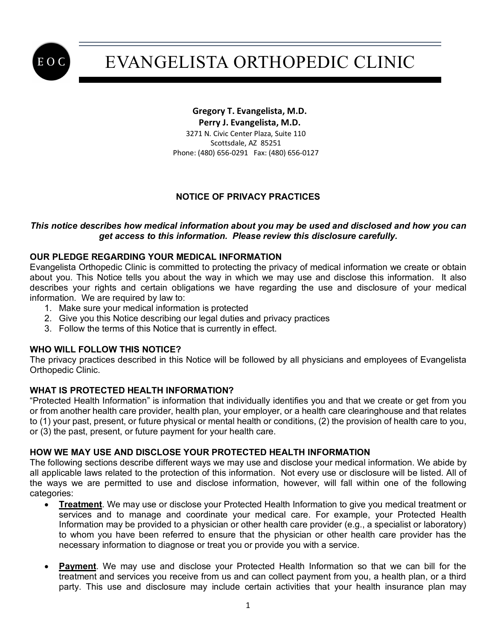

#### **Gregory T. Evangelista, M.D. Perry J. Evangelista, M.D.** 3271 N. Civic Center Plaza, Suite 110 Scottsdale, AZ 85251 Phone: (480) 656-0291 Fax: (480) 656-0127

## **NOTICE OF PRIVACY PRACTICES**

#### *This notice describes how medical information about you may be used and disclosed and how you can get access to this information. Please review this disclosure carefully.*

#### **OUR PLEDGE REGARDING YOUR MEDICAL INFORMATION**

Evangelista Orthopedic Clinic is committed to protecting the privacy of medical information we create or obtain about you. This Notice tells you about the way in which we may use and disclose this information. It also describes your rights and certain obligations we have regarding the use and disclosure of your medical information. We are required by law to:

- 1. Make sure your medical information is protected
- 2. Give you this Notice describing our legal duties and privacy practices
- 3. Follow the terms of this Notice that is currently in effect.

#### **WHO WILL FOLLOW THIS NOTICE?**

The privacy practices described in this Notice will be followed by all physicians and employees of Evangelista Orthopedic Clinic.

### **WHAT IS PROTECTED HEALTH INFORMATION?**

"Protected Health Information" is information that individually identifies you and that we create or get from you or from another health care provider, health plan, your employer, or a health care clearinghouse and that relates to (1) your past, present, or future physical or mental health or conditions, (2) the provision of health care to you, or (3) the past, present, or future payment for your health care.

#### **HOW WE MAY USE AND DISCLOSE YOUR PROTECTED HEALTH INFORMATION**

The following sections describe different ways we may use and disclose your medical information. We abide by all applicable laws related to the protection of this information. Not every use or disclosure will be listed. All of the ways we are permitted to use and disclose information, however, will fall within one of the following categories:

- **Treatment**. We may use or disclose your Protected Health Information to give you medical treatment or services and to manage and coordinate your medical care. For example, your Protected Health Information may be provided to a physician or other health care provider (e.g., a specialist or laboratory) to whom you have been referred to ensure that the physician or other health care provider has the necessary information to diagnose or treat you or provide you with a service.
- **Payment**. We may use and disclose your Protected Health Information so that we can bill for the treatment and services you receive from us and can collect payment from you, a health plan, or a third party. This use and disclosure may include certain activities that your health insurance plan may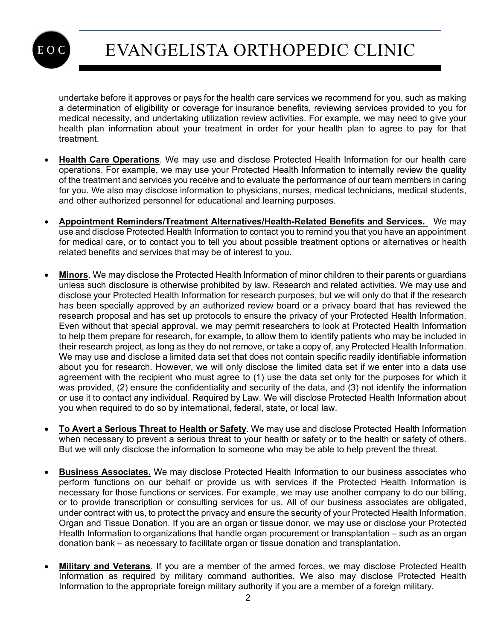

undertake before it approves or pays for the health care services we recommend for you, such as making a determination of eligibility or coverage for insurance benefits, reviewing services provided to you for medical necessity, and undertaking utilization review activities. For example, we may need to give your health plan information about your treatment in order for your health plan to agree to pay for that treatment.

- **Health Care Operations**. We may use and disclose Protected Health Information for our health care operations. For example, we may use your Protected Health Information to internally review the quality of the treatment and services you receive and to evaluate the performance of our team members in caring for you. We also may disclose information to physicians, nurses, medical technicians, medical students, and other authorized personnel for educational and learning purposes.
- **Appointment Reminders/Treatment Alternatives/Health-Related Benefits and Services.** We may use and disclose Protected Health Information to contact you to remind you that you have an appointment for medical care, or to contact you to tell you about possible treatment options or alternatives or health related benefits and services that may be of interest to you.
- **Minors**. We may disclose the Protected Health Information of minor children to their parents or guardians unless such disclosure is otherwise prohibited by law. Research and related activities. We may use and disclose your Protected Health Information for research purposes, but we will only do that if the research has been specially approved by an authorized review board or a privacy board that has reviewed the research proposal and has set up protocols to ensure the privacy of your Protected Health Information. Even without that special approval, we may permit researchers to look at Protected Health Information to help them prepare for research, for example, to allow them to identify patients who may be included in their research project, as long as they do not remove, or take a copy of, any Protected Health Information. We may use and disclose a limited data set that does not contain specific readily identifiable information about you for research. However, we will only disclose the limited data set if we enter into a data use agreement with the recipient who must agree to (1) use the data set only for the purposes for which it was provided, (2) ensure the confidentiality and security of the data, and (3) not identify the information or use it to contact any individual. Required by Law. We will disclose Protected Health Information about you when required to do so by international, federal, state, or local law.
- **To Avert a Serious Threat to Health or Safety**. We may use and disclose Protected Health Information when necessary to prevent a serious threat to your health or safety or to the health or safety of others. But we will only disclose the information to someone who may be able to help prevent the threat.
- **Business Associates.** We may disclose Protected Health Information to our business associates who perform functions on our behalf or provide us with services if the Protected Health Information is necessary for those functions or services. For example, we may use another company to do our billing, or to provide transcription or consulting services for us. All of our business associates are obligated, under contract with us, to protect the privacy and ensure the security of your Protected Health Information. Organ and Tissue Donation. If you are an organ or tissue donor, we may use or disclose your Protected Health Information to organizations that handle organ procurement or transplantation – such as an organ donation bank – as necessary to facilitate organ or tissue donation and transplantation.
- **Military and Veterans**. If you are a member of the armed forces, we may disclose Protected Health Information as required by military command authorities. We also may disclose Protected Health Information to the appropriate foreign military authority if you are a member of a foreign military.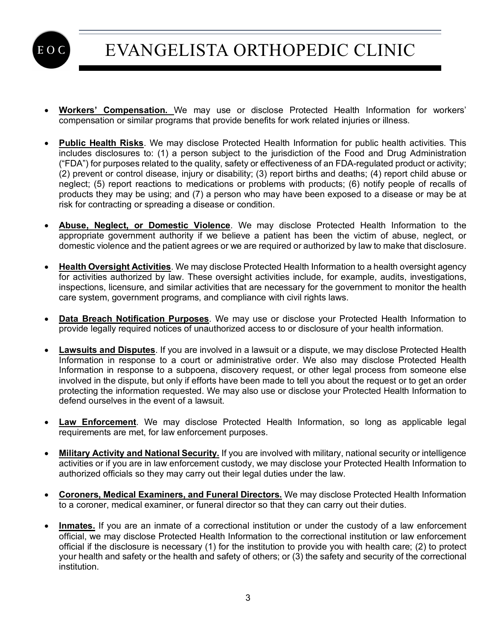

- **Workers' Compensation.** We may use or disclose Protected Health Information for workers' compensation or similar programs that provide benefits for work related injuries or illness.
- **Public Health Risks**. We may disclose Protected Health Information for public health activities. This includes disclosures to: (1) a person subject to the jurisdiction of the Food and Drug Administration ("FDA") for purposes related to the quality, safety or effectiveness of an FDA-regulated product or activity; (2) prevent or control disease, injury or disability; (3) report births and deaths; (4) report child abuse or neglect; (5) report reactions to medications or problems with products; (6) notify people of recalls of products they may be using; and (7) a person who may have been exposed to a disease or may be at risk for contracting or spreading a disease or condition.
- **Abuse, Neglect, or Domestic Violence**. We may disclose Protected Health Information to the appropriate government authority if we believe a patient has been the victim of abuse, neglect, or domestic violence and the patient agrees or we are required or authorized by law to make that disclosure.
- **Health Oversight Activities**. We may disclose Protected Health Information to a health oversight agency for activities authorized by law. These oversight activities include, for example, audits, investigations, inspections, licensure, and similar activities that are necessary for the government to monitor the health care system, government programs, and compliance with civil rights laws.
- **Data Breach Notification Purposes**. We may use or disclose your Protected Health Information to provide legally required notices of unauthorized access to or disclosure of your health information.
- **Lawsuits and Disputes**. If you are involved in a lawsuit or a dispute, we may disclose Protected Health Information in response to a court or administrative order. We also may disclose Protected Health Information in response to a subpoena, discovery request, or other legal process from someone else involved in the dispute, but only if efforts have been made to tell you about the request or to get an order protecting the information requested. We may also use or disclose your Protected Health Information to defend ourselves in the event of a lawsuit.
- **Law Enforcement**. We may disclose Protected Health Information, so long as applicable legal requirements are met, for law enforcement purposes.
- **Military Activity and National Security.** If you are involved with military, national security or intelligence activities or if you are in law enforcement custody, we may disclose your Protected Health Information to authorized officials so they may carry out their legal duties under the law.
- **Coroners, Medical Examiners, and Funeral Directors.** We may disclose Protected Health Information to a coroner, medical examiner, or funeral director so that they can carry out their duties.
- **Inmates.** If you are an inmate of a correctional institution or under the custody of a law enforcement official, we may disclose Protected Health Information to the correctional institution or law enforcement official if the disclosure is necessary (1) for the institution to provide you with health care; (2) to protect your health and safety or the health and safety of others; or (3) the safety and security of the correctional institution.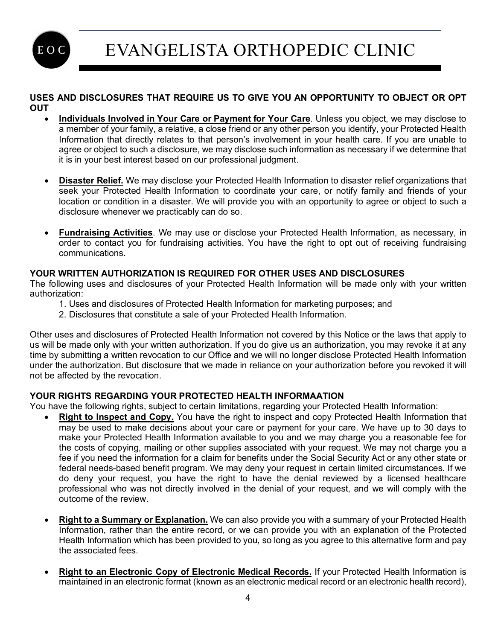EOC

# EVANGELISTA ORTHOPEDIC CLINIC

#### **USES AND DISCLOSURES THAT REQUIRE US TO GIVE YOU AN OPPORTUNITY TO OBJECT OR OPT OUT**

- **Individuals Involved in Your Care or Payment for Your Care**. Unless you object, we may disclose to a member of your family, a relative, a close friend or any other person you identify, your Protected Health Information that directly relates to that person's involvement in your health care. If you are unable to agree or object to such a disclosure, we may disclose such information as necessary if we determine that it is in your best interest based on our professional judgment.
- **Disaster Relief.** We may disclose your Protected Health Information to disaster relief organizations that seek your Protected Health Information to coordinate your care, or notify family and friends of your location or condition in a disaster. We will provide you with an opportunity to agree or object to such a disclosure whenever we practicably can do so.
- **Fundraising Activities**. We may use or disclose your Protected Health Information, as necessary, in order to contact you for fundraising activities. You have the right to opt out of receiving fundraising communications.

## **YOUR WRITTEN AUTHORIZATION IS REQUIRED FOR OTHER USES AND DISCLOSURES**

The following uses and disclosures of your Protected Health Information will be made only with your written authorization:

- 1. Uses and disclosures of Protected Health Information for marketing purposes; and
- 2. Disclosures that constitute a sale of your Protected Health Information.

Other uses and disclosures of Protected Health Information not covered by this Notice or the laws that apply to us will be made only with your written authorization. If you do give us an authorization, you may revoke it at any time by submitting a written revocation to our Office and we will no longer disclose Protected Health Information under the authorization. But disclosure that we made in reliance on your authorization before you revoked it will not be affected by the revocation.

### **YOUR RIGHTS REGARDING YOUR PROTECTED HEALTH INFORMAATION**

You have the following rights, subject to certain limitations, regarding your Protected Health Information:

- **Right to Inspect and Copy.** You have the right to inspect and copy Protected Health Information that may be used to make decisions about your care or payment for your care. We have up to 30 days to make your Protected Health Information available to you and we may charge you a reasonable fee for the costs of copying, mailing or other supplies associated with your request. We may not charge you a fee if you need the information for a claim for benefits under the Social Security Act or any other state or federal needs-based benefit program. We may deny your request in certain limited circumstances. If we do deny your request, you have the right to have the denial reviewed by a licensed healthcare professional who was not directly involved in the denial of your request, and we will comply with the outcome of the review.
- **Right to a Summary or Explanation.** We can also provide you with a summary of your Protected Health Information, rather than the entire record, or we can provide you with an explanation of the Protected Health Information which has been provided to you, so long as you agree to this alternative form and pay the associated fees.
- **Right to an Electronic Copy of Electronic Medical Records.** If your Protected Health Information is maintained in an electronic format (known as an electronic medical record or an electronic health record),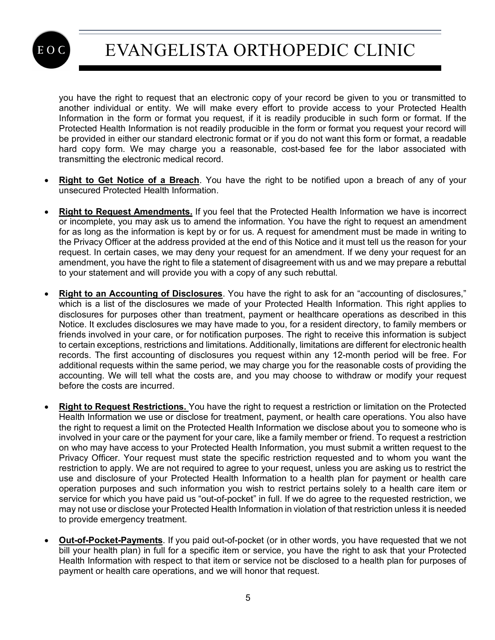

you have the right to request that an electronic copy of your record be given to you or transmitted to another individual or entity. We will make every effort to provide access to your Protected Health Information in the form or format you request, if it is readily producible in such form or format. If the Protected Health Information is not readily producible in the form or format you request your record will be provided in either our standard electronic format or if you do not want this form or format, a readable hard copy form. We may charge you a reasonable, cost-based fee for the labor associated with transmitting the electronic medical record.

- **Right to Get Notice of a Breach**. You have the right to be notified upon a breach of any of your unsecured Protected Health Information.
- **Right to Request Amendments.** If you feel that the Protected Health Information we have is incorrect or incomplete, you may ask us to amend the information. You have the right to request an amendment for as long as the information is kept by or for us. A request for amendment must be made in writing to the Privacy Officer at the address provided at the end of this Notice and it must tell us the reason for your request. In certain cases, we may deny your request for an amendment. If we deny your request for an amendment, you have the right to file a statement of disagreement with us and we may prepare a rebuttal to your statement and will provide you with a copy of any such rebuttal.
- **Right to an Accounting of Disclosures**. You have the right to ask for an "accounting of disclosures," which is a list of the disclosures we made of your Protected Health Information. This right applies to disclosures for purposes other than treatment, payment or healthcare operations as described in this Notice. It excludes disclosures we may have made to you, for a resident directory, to family members or friends involved in your care, or for notification purposes. The right to receive this information is subject to certain exceptions, restrictions and limitations. Additionally, limitations are different for electronic health records. The first accounting of disclosures you request within any 12-month period will be free. For additional requests within the same period, we may charge you for the reasonable costs of providing the accounting. We will tell what the costs are, and you may choose to withdraw or modify your request before the costs are incurred.
- **Right to Request Restrictions.** You have the right to request a restriction or limitation on the Protected Health Information we use or disclose for treatment, payment, or health care operations. You also have the right to request a limit on the Protected Health Information we disclose about you to someone who is involved in your care or the payment for your care, like a family member or friend. To request a restriction on who may have access to your Protected Health Information, you must submit a written request to the Privacy Officer. Your request must state the specific restriction requested and to whom you want the restriction to apply. We are not required to agree to your request, unless you are asking us to restrict the use and disclosure of your Protected Health Information to a health plan for payment or health care operation purposes and such information you wish to restrict pertains solely to a health care item or service for which you have paid us "out-of-pocket" in full. If we do agree to the requested restriction, we may not use or disclose your Protected Health Information in violation of that restriction unless it is needed to provide emergency treatment.
- **Out-of-Pocket-Payments**. If you paid out-of-pocket (or in other words, you have requested that we not bill your health plan) in full for a specific item or service, you have the right to ask that your Protected Health Information with respect to that item or service not be disclosed to a health plan for purposes of payment or health care operations, and we will honor that request.